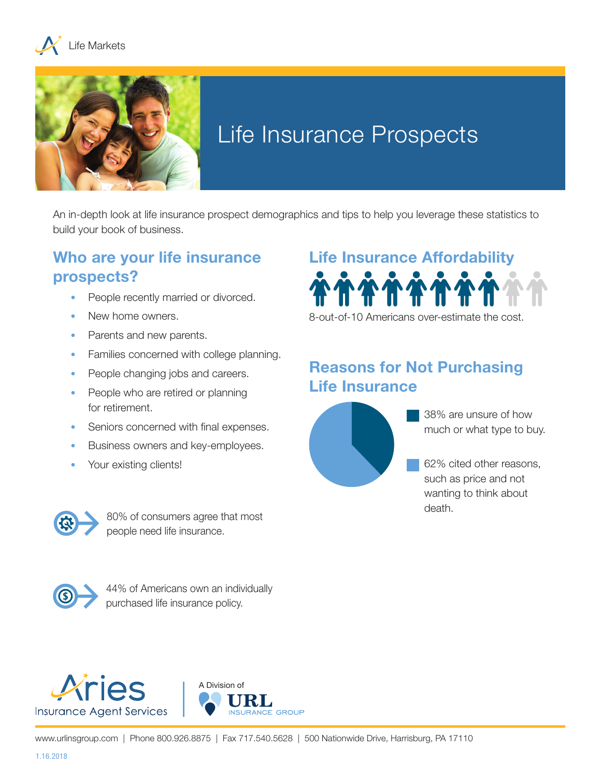



## Life Insurance Prospects

An in-depth look at life insurance prospect demographics and tips to help you leverage these statistics to build your book of business.

## **Who are your life insurance prospects?**

- People recently married or divorced.
- New home owners.
- Parents and new parents.
- Families concerned with college planning.
- People changing jobs and careers.
- People who are retired or planning for retirement.
- Seniors concerned with final expenses.
- Business owners and key-employees.
- Your existing clients!



## **Reasons for Not Purchasing Life Insurance**



38% are unsure of how much or what type to buy.

62% cited other reasons, such as price and not wanting to think about death.



80% of consumers agree that most people need life insurance.



44% of Americans own an individually purchased life insurance policy.